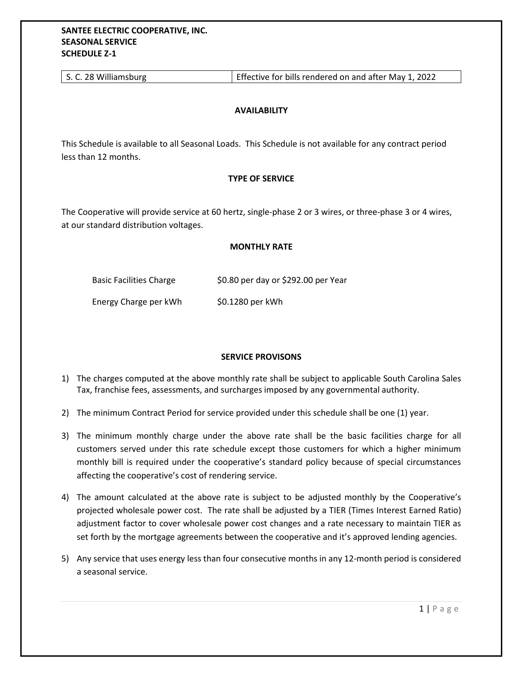| Effective for bills rendered on and after May 1, 2022<br>S. C. 28 Williamsburg |
|--------------------------------------------------------------------------------|
|--------------------------------------------------------------------------------|

## **AVAILABILITY**

This Schedule is available to all Seasonal Loads. This Schedule is not available for any contract period less than 12 months.

## **TYPE OF SERVICE**

The Cooperative will provide service at 60 hertz, single-phase 2 or 3 wires, or three-phase 3 or 4 wires, at our standard distribution voltages.

## **MONTHLY RATE**

| <b>Basic Facilities Charge</b> | \$0.80 per day or \$292.00 per Year |
|--------------------------------|-------------------------------------|
| Energy Charge per kWh          | \$0.1280 per kWh                    |

## **SERVICE PROVISONS**

- 1) The charges computed at the above monthly rate shall be subject to applicable South Carolina Sales Tax, franchise fees, assessments, and surcharges imposed by any governmental authority.
- 2) The minimum Contract Period for service provided under this schedule shall be one (1) year.
- 3) The minimum monthly charge under the above rate shall be the basic facilities charge for all customers served under this rate schedule except those customers for which a higher minimum monthly bill is required under the cooperative's standard policy because of special circumstances affecting the cooperative's cost of rendering service.
- 4) The amount calculated at the above rate is subject to be adjusted monthly by the Cooperative's projected wholesale power cost. The rate shall be adjusted by a TIER (Times Interest Earned Ratio) adjustment factor to cover wholesale power cost changes and a rate necessary to maintain TIER as set forth by the mortgage agreements between the cooperative and it's approved lending agencies.
- 5) Any service that uses energy less than four consecutive months in any 12-month period is considered a seasonal service.